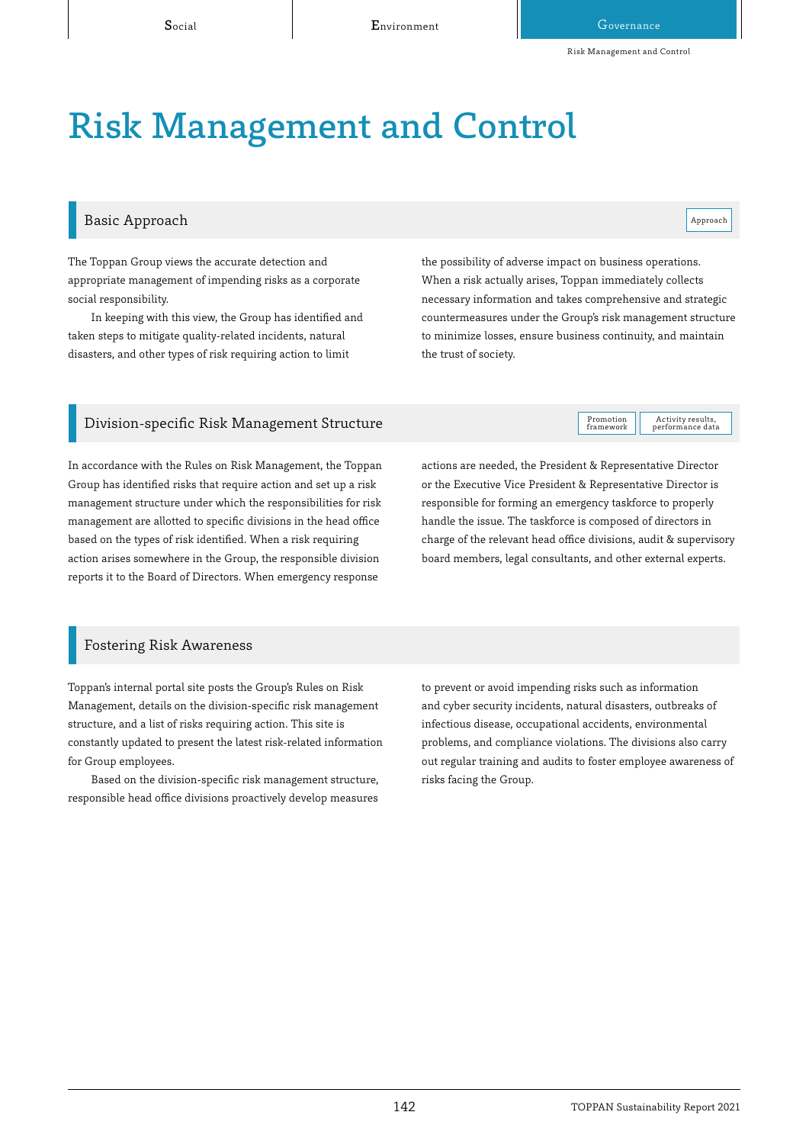# **Risk Management and Control**

# Basic Approach

Approach

Activity results,<br>performance data

The Toppan Group views the accurate detection and appropriate management of impending risks as a corporate social responsibility.

In keeping with this view, the Group has identified and taken steps to mitigate quality-related incidents, natural disasters, and other types of risk requiring action to limit

the possibility of adverse impact on business operations. When a risk actually arises, Toppan immediately collects necessary information and takes comprehensive and strategic countermeasures under the Group's risk management structure to minimize losses, ensure business continuity, and maintain the trust of society.

# Division-specific Risk Management Structure

In accordance with the Rules on Risk Management, the Toppan Group has identified risks that require action and set up a risk management structure under which the responsibilities for risk management are allotted to specific divisions in the head office based on the types of risk identified. When a risk requiring action arises somewhere in the Group, the responsible division reports it to the Board of Directors. When emergency response

actions are needed, the President & Representative Director or the Executive Vice President & Representative Director is responsible for forming an emergency taskforce to properly handle the issue. The taskforce is composed of directors in charge of the relevant head office divisions, audit & supervisory board members, legal consultants, and other external experts.

Promotion framework

### Fostering Risk Awareness

Toppan's internal portal site posts the Group's Rules on Risk Management, details on the division-specific risk management structure, and a list of risks requiring action. This site is constantly updated to present the latest risk-related information for Group employees.

Based on the division-specific risk management structure, responsible head office divisions proactively develop measures to prevent or avoid impending risks such as information and cyber security incidents, natural disasters, outbreaks of infectious disease, occupational accidents, environmental problems, and compliance violations. The divisions also carry out regular training and audits to foster employee awareness of risks facing the Group.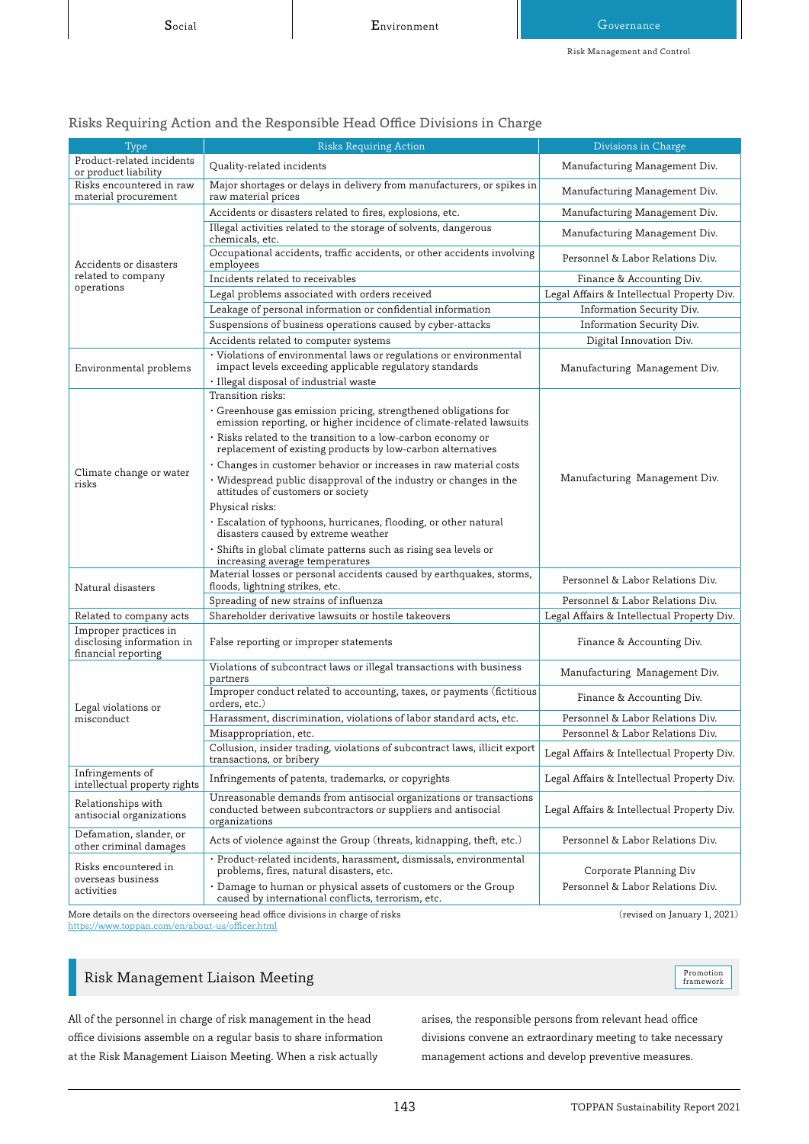| <b>Type</b>                                                               | raono requiring retuon unu ule neoponolote rieuu onite Drvloloho in Churge<br><b>Risks Requiring Action</b>                                         | Divisions in Charge                        |
|---------------------------------------------------------------------------|-----------------------------------------------------------------------------------------------------------------------------------------------------|--------------------------------------------|
| Product-related incidents                                                 |                                                                                                                                                     |                                            |
| or product liability                                                      | Quality-related incidents                                                                                                                           | Manufacturing Management Div.              |
| Risks encountered in raw<br>material procurement                          | Major shortages or delays in delivery from manufacturers, or spikes in<br>raw material prices                                                       | Manufacturing Management Div.              |
| Accidents or disasters<br>related to company<br>operations                | Accidents or disasters related to fires, explosions, etc.                                                                                           | Manufacturing Management Div.              |
|                                                                           | Illegal activities related to the storage of solvents, dangerous<br>chemicals, etc.                                                                 | Manufacturing Management Div.              |
|                                                                           | Occupational accidents, traffic accidents, or other accidents involving<br>employees                                                                | Personnel & Labor Relations Div.           |
|                                                                           | Incidents related to receivables                                                                                                                    | Finance & Accounting Div.                  |
|                                                                           | Legal problems associated with orders received                                                                                                      | Legal Affairs & Intellectual Property Div. |
|                                                                           | Leakage of personal information or confidential information                                                                                         | Information Security Div.                  |
|                                                                           | Suspensions of business operations caused by cyber-attacks                                                                                          | Information Security Div.                  |
|                                                                           | Accidents related to computer systems                                                                                                               | Digital Innovation Div.                    |
| Environmental problems                                                    | · Violations of environmental laws or regulations or environmental<br>impact levels exceeding applicable regulatory standards                       | Manufacturing Management Div.              |
|                                                                           | · Illegal disposal of industrial waste                                                                                                              |                                            |
| Climate change or water<br>risks                                          | Transition risks:                                                                                                                                   | Manufacturing Management Div.              |
|                                                                           | · Greenhouse gas emission pricing, strengthened obligations for<br>emission reporting, or higher incidence of climate-related lawsuits              |                                            |
|                                                                           | · Risks related to the transition to a low-carbon economy or<br>replacement of existing products by low-carbon alternatives                         |                                            |
|                                                                           | · Changes in customer behavior or increases in raw material costs                                                                                   |                                            |
|                                                                           | · Widespread public disapproval of the industry or changes in the<br>attitudes of customers or society                                              |                                            |
|                                                                           | Physical risks:                                                                                                                                     |                                            |
|                                                                           | · Escalation of typhoons, hurricanes, flooding, or other natural<br>disasters caused by extreme weather                                             |                                            |
|                                                                           | · Shifts in global climate patterns such as rising sea levels or<br>increasing average temperatures                                                 |                                            |
| Natural disasters                                                         | Material losses or personal accidents caused by earthquakes, storms,<br>floods, lightning strikes, etc.                                             | Personnel & Labor Relations Div.           |
|                                                                           | Spreading of new strains of influenza                                                                                                               | Personnel & Labor Relations Div.           |
| Related to company acts                                                   | Shareholder derivative lawsuits or hostile takeovers                                                                                                | Legal Affairs & Intellectual Property Div. |
| Improper practices in<br>disclosing information in<br>financial reporting | False reporting or improper statements                                                                                                              | Finance & Accounting Div.                  |
| Legal violations or<br>misconduct                                         | Violations of subcontract laws or illegal transactions with business<br>partners                                                                    | Manufacturing Management Div.              |
|                                                                           | Improper conduct related to accounting, taxes, or payments (fictitious<br>orders, etc.)                                                             | Finance & Accounting Div.                  |
|                                                                           | Harassment, discrimination, violations of labor standard acts, etc.                                                                                 | Personnel & Labor Relations Div.           |
|                                                                           | Misappropriation, etc.                                                                                                                              | Personnel & Labor Relations Div.           |
|                                                                           | Collusion, insider trading, violations of subcontract laws, illicit export<br>transactions, or bribery                                              | Legal Affairs & Intellectual Property Div. |
| Infringements of<br>intellectual property rights                          | Infringements of patents, trademarks, or copyrights                                                                                                 | Legal Affairs & Intellectual Property Div. |
| Relationships with<br>antisocial organizations                            | Unreasonable demands from antisocial organizations or transactions<br>conducted between subcontractors or suppliers and antisocial<br>organizations | Legal Affairs & Intellectual Property Div. |
| Defamation, slander, or<br>other criminal damages                         | Acts of violence against the Group (threats, kidnapping, theft, etc.)                                                                               | Personnel & Labor Relations Div.           |
| Risks encountered in<br>overseas business<br>activities                   | · Product-related incidents, harassment, dismissals, environmental<br>problems, fires, natural disasters, etc.                                      | Corporate Planning Div                     |
|                                                                           | · Damage to human or physical assets of customers or the Group                                                                                      | Personnel & Labor Relations Div.           |

# Risks Requiring Action and the Responsible Head Office Divisions in Charge

More details on the directors overseeing head office divisions in charge of risks https://www.toppan.com/en/about-us/officer.html

caused by international conflicts, terrorism, etc.

# Risk Management Liaison Meeting

Promotion<br>framework

 $(revised on January 1, 2021)$ 

All of the personnel in charge of risk management in the head office divisions assemble on a regular basis to share information at the Risk Management Liaison Meeting. When a risk actually

arises, the responsible persons from relevant head office divisions convene an extraordinary meeting to take necessary management actions and develop preventive measures.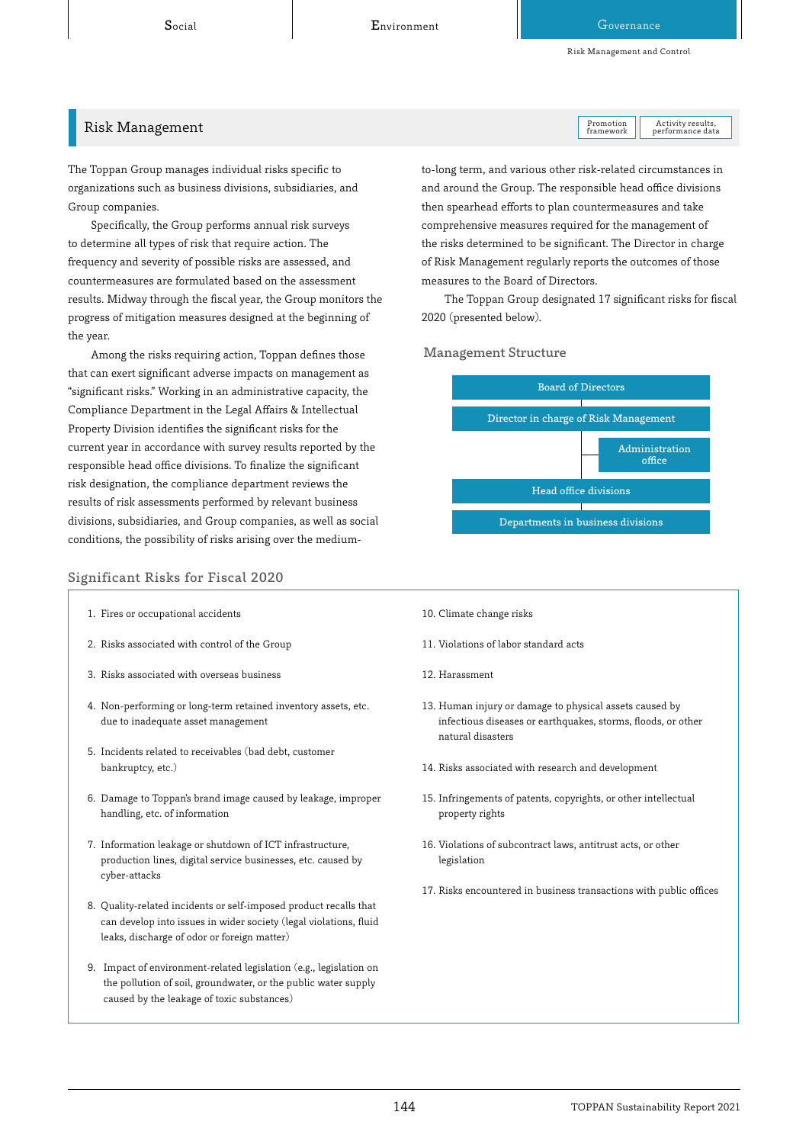Risk Management and Control

### Risk Management

The Toppan Group manages individual risks specific to organizations such as business divisions, subsidiaries, and Group companies.

Specifically, the Group performs annual risk surveys to determine all types of risk that require action. The frequency and severity of possible risks are assessed, and countermeasures are formulated based on the assessment results. Midway through the fiscal year, the Group monitors the progress of mitigation measures designed at the beginning of the year.

Among the risks requiring action, Toppan defines those that can exert significant adverse impacts on management as "significant risks." Working in an administrative capacity, the Compliance Department in the Legal Affairs & Intellectual Property Division identifies the significant risks for the current year in accordance with survey results reported by the responsible head office divisions. To finalize the significant risk designation, the compliance department reviews the results of risk assessments performed by relevant business divisions, subsidiaries, and Group companies, as well as social conditions, the possibility of risks arising over the medium-

#### Significant Risks for Fiscal 2020

- 1. Fires or occupational accidents
- 2. Risks associated with control of the Group
- 3. Risks associated with overseas business
- 4. Non-performing or long-term retained inventory assets, etc. due to inadequate asset management
- 5. Incidents related to receivables (bad debt, customer bankruptcy, etc.)
- 6. Damage to Toppan's brand image caused by leakage, improper handling, etc. of information
- 7. Information leakage or shutdown of ICT infrastructure, production lines, digital service businesses, etc. caused by cyber-attacks
- 8. Quality-related incidents or self-imposed product recalls that can develop into issues in wider society (legal violations, fluid leaks, discharge of odor or foreign matter)
- 9. Impact of environment-related legislation (e.g., legislation on the pollution of soil, groundwater, or the public water supply caused by the leakage of toxic substances)

Promotion framework

, Activity results<br>performance data

and around the Group. The responsible head office divisions then spearhead efforts to plan countermeasures and take comprehensive measures required for the management of the risks determined to be significant. The Director in charge of Risk Management regularly reports the outcomes of those measures to the Board of Directors.

The Toppan Group designated 17 significant risks for fiscal 2020 (presented below).

Management Structure



- 10. Climate change risks
- 11. Violations of labor standard acts
- 12. Harassment
- 13. Human injury or damage to physical assets caused by infectious diseases or earthquakes, storms, floods, or other natural disasters
- 14. Risks associated with research and development
- 15. Infringements of patents, copyrights, or other intellectual property rights
- 16. Violations of subcontract laws, antitrust acts, or other legislation
- 17. Risks encountered in business transactions with public offices